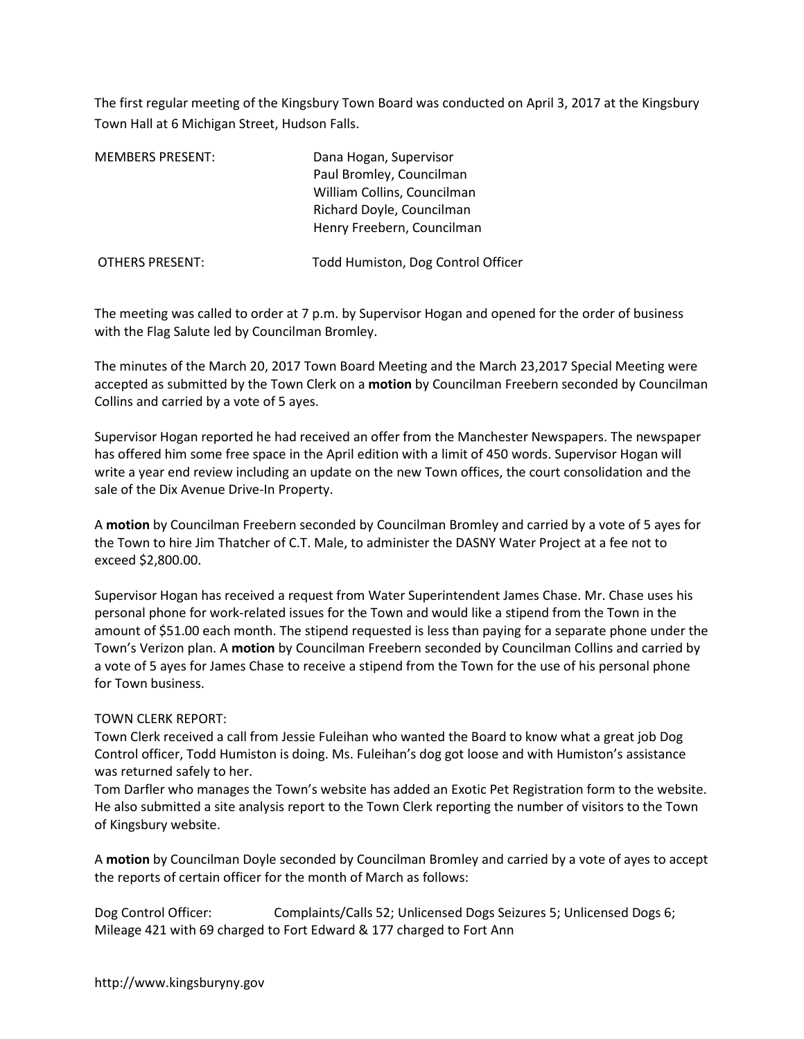The first regular meeting of the Kingsbury Town Board was conducted on April 3, 2017 at the Kingsbury Town Hall at 6 Michigan Street, Hudson Falls.

| <b>MEMBERS PRESENT:</b> | Dana Hogan, Supervisor<br>Paul Bromley, Councilman<br>William Collins, Councilman<br>Richard Doyle, Councilman<br>Henry Freebern, Councilman |
|-------------------------|----------------------------------------------------------------------------------------------------------------------------------------------|
| <b>OTHERS PRESENT:</b>  | Todd Humiston, Dog Control Officer                                                                                                           |

The meeting was called to order at 7 p.m. by Supervisor Hogan and opened for the order of business with the Flag Salute led by Councilman Bromley.

The minutes of the March 20, 2017 Town Board Meeting and the March 23,2017 Special Meeting were accepted as submitted by the Town Clerk on a **motion** by Councilman Freebern seconded by Councilman Collins and carried by a vote of 5 ayes.

Supervisor Hogan reported he had received an offer from the Manchester Newspapers. The newspaper has offered him some free space in the April edition with a limit of 450 words. Supervisor Hogan will write a year end review including an update on the new Town offices, the court consolidation and the sale of the Dix Avenue Drive-In Property.

A **motion** by Councilman Freebern seconded by Councilman Bromley and carried by a vote of 5 ayes for the Town to hire Jim Thatcher of C.T. Male, to administer the DASNY Water Project at a fee not to exceed \$2,800.00.

Supervisor Hogan has received a request from Water Superintendent James Chase. Mr. Chase uses his personal phone for work-related issues for the Town and would like a stipend from the Town in the amount of \$51.00 each month. The stipend requested is less than paying for a separate phone under the Town's Verizon plan. A **motion** by Councilman Freebern seconded by Councilman Collins and carried by a vote of 5 ayes for James Chase to receive a stipend from the Town for the use of his personal phone for Town business.

## TOWN CLERK REPORT:

Town Clerk received a call from Jessie Fuleihan who wanted the Board to know what a great job Dog Control officer, Todd Humiston is doing. Ms. Fuleihan's dog got loose and with Humiston's assistance was returned safely to her.

Tom Darfler who manages the Town's website has added an Exotic Pet Registration form to the website. He also submitted a site analysis report to the Town Clerk reporting the number of visitors to the Town of Kingsbury website.

A **motion** by Councilman Doyle seconded by Councilman Bromley and carried by a vote of ayes to accept the reports of certain officer for the month of March as follows:

Dog Control Officer: Complaints/Calls 52; Unlicensed Dogs Seizures 5; Unlicensed Dogs 6; Mileage 421 with 69 charged to Fort Edward & 177 charged to Fort Ann